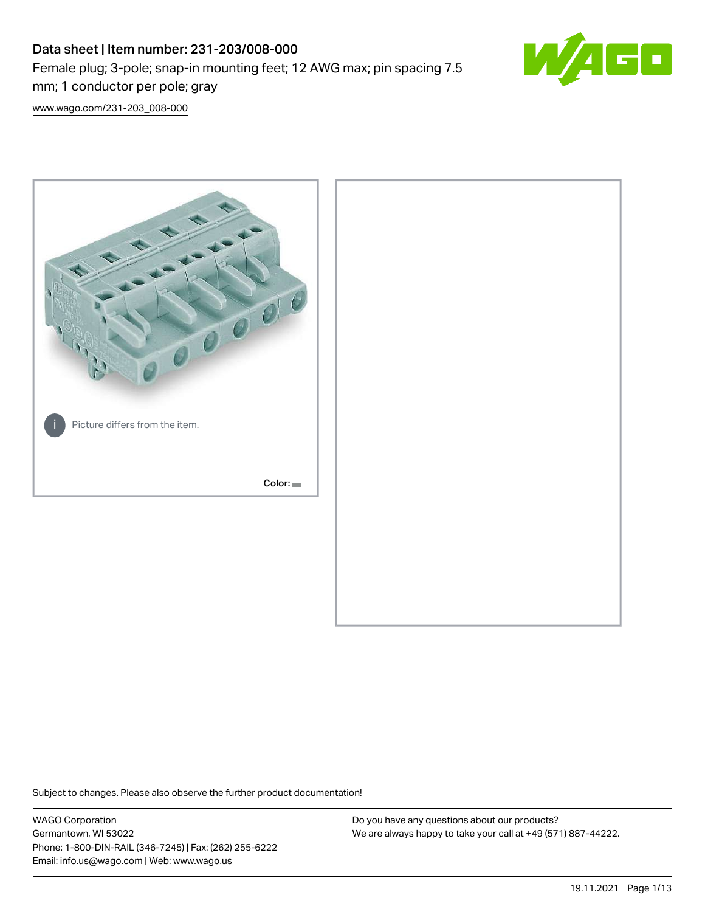# Data sheet | Item number: 231-203/008-000 Female plug; 3-pole; snap-in mounting feet; 12 AWG max; pin spacing 7.5 mm; 1 conductor per pole; gray



[www.wago.com/231-203\\_008-000](http://www.wago.com/231-203_008-000)



Subject to changes. Please also observe the further product documentation!

WAGO Corporation Germantown, WI 53022 Phone: 1-800-DIN-RAIL (346-7245) | Fax: (262) 255-6222 Email: info.us@wago.com | Web: www.wago.us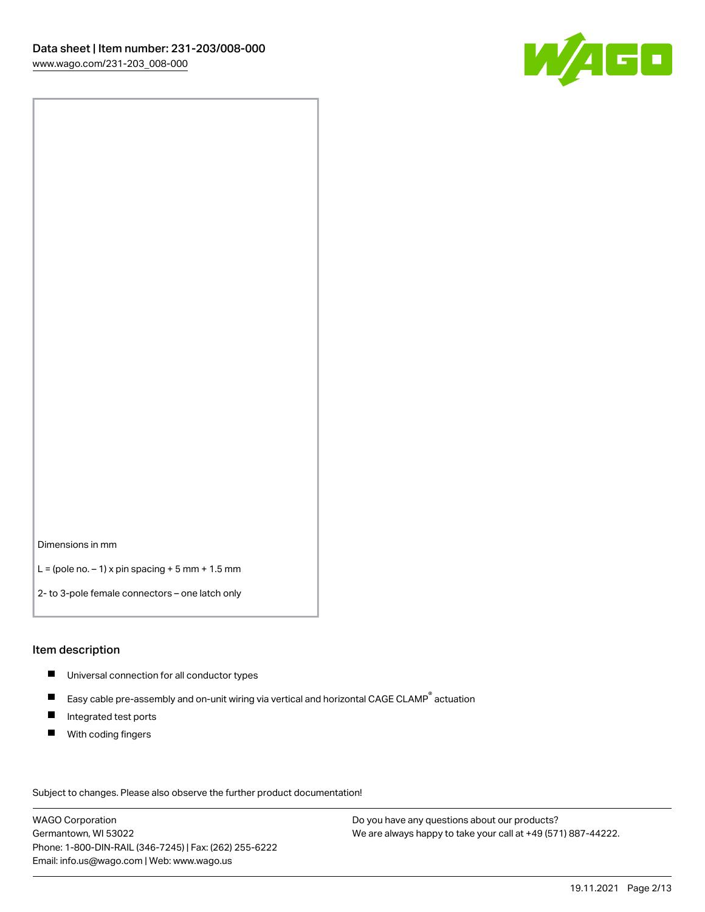

Dimensions in mm

 $L =$  (pole no.  $-1$ ) x pin spacing  $+5$  mm  $+ 1.5$  mm

2- to 3-pole female connectors – one latch only

### Item description

- **Universal connection for all conductor types**
- Easy cable pre-assembly and on-unit wiring via vertical and horizontal CAGE CLAMP<sup>®</sup> actuation  $\blacksquare$
- $\blacksquare$ Integrated test ports
- $\blacksquare$ With coding fingers

Subject to changes. Please also observe the further product documentation! Data

WAGO Corporation Germantown, WI 53022 Phone: 1-800-DIN-RAIL (346-7245) | Fax: (262) 255-6222 Email: info.us@wago.com | Web: www.wago.us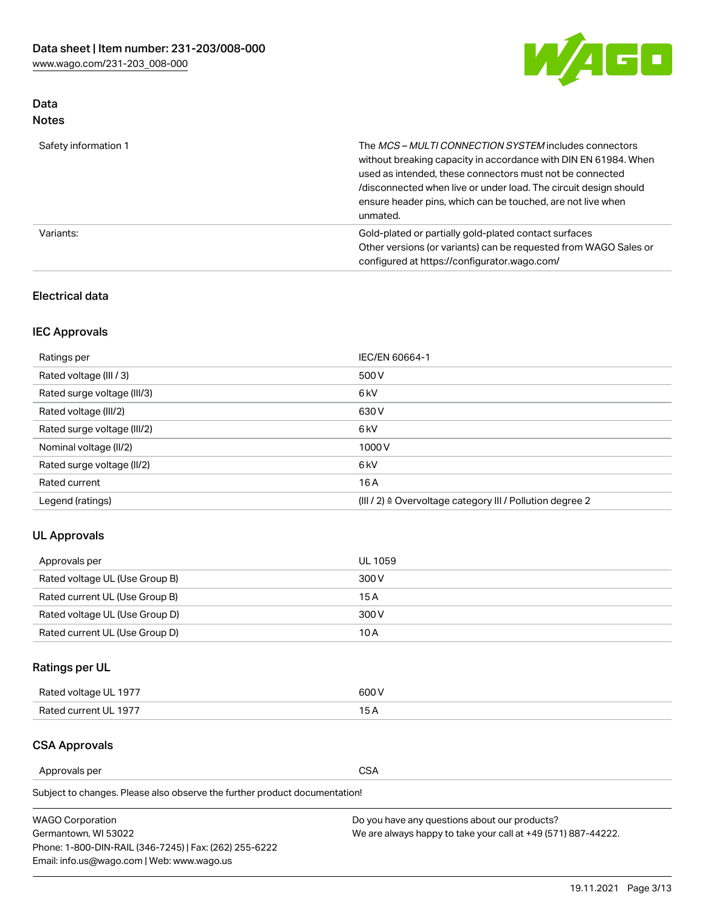

# Data Notes

| Safety information 1 | The MCS-MULTI CONNECTION SYSTEM includes connectors<br>without breaking capacity in accordance with DIN EN 61984. When<br>used as intended, these connectors must not be connected<br>/disconnected when live or under load. The circuit design should<br>ensure header pins, which can be touched, are not live when<br>unmated. |
|----------------------|-----------------------------------------------------------------------------------------------------------------------------------------------------------------------------------------------------------------------------------------------------------------------------------------------------------------------------------|
| Variants:            | Gold-plated or partially gold-plated contact surfaces<br>Other versions (or variants) can be requested from WAGO Sales or<br>configured at https://configurator.wago.com/                                                                                                                                                         |

# Electrical data

# IEC Approvals

| Ratings per                 | IEC/EN 60664-1                                                        |
|-----------------------------|-----------------------------------------------------------------------|
| Rated voltage (III / 3)     | 500 V                                                                 |
| Rated surge voltage (III/3) | 6 <sub>kV</sub>                                                       |
| Rated voltage (III/2)       | 630 V                                                                 |
| Rated surge voltage (III/2) | 6 <sub>kV</sub>                                                       |
| Nominal voltage (II/2)      | 1000V                                                                 |
| Rated surge voltage (II/2)  | 6 <sub>kV</sub>                                                       |
| Rated current               | 16A                                                                   |
| Legend (ratings)            | $(III / 2)$ $\triangle$ Overvoltage category III / Pollution degree 2 |

# UL Approvals

| Approvals per                  | UL 1059 |
|--------------------------------|---------|
| Rated voltage UL (Use Group B) | 300 V   |
| Rated current UL (Use Group B) | 15 A    |
| Rated voltage UL (Use Group D) | 300 V   |
| Rated current UL (Use Group D) | 10 A    |

# Ratings per UL

| Rated voltage UL 1977 | 600 V         |
|-----------------------|---------------|
| Rated current UL 1977 | $\sim$ $\sim$ |

# CSA Approvals

Approvals per CSA

Subject to changes. Please also observe the further product documentation!

| <b>WAGO Corporation</b>                                | Do you have any questions about our products?                 |
|--------------------------------------------------------|---------------------------------------------------------------|
| Germantown, WI 53022                                   | We are always happy to take your call at +49 (571) 887-44222. |
| Phone: 1-800-DIN-RAIL (346-7245)   Fax: (262) 255-6222 |                                                               |
| Email: info.us@wago.com   Web: www.wago.us             |                                                               |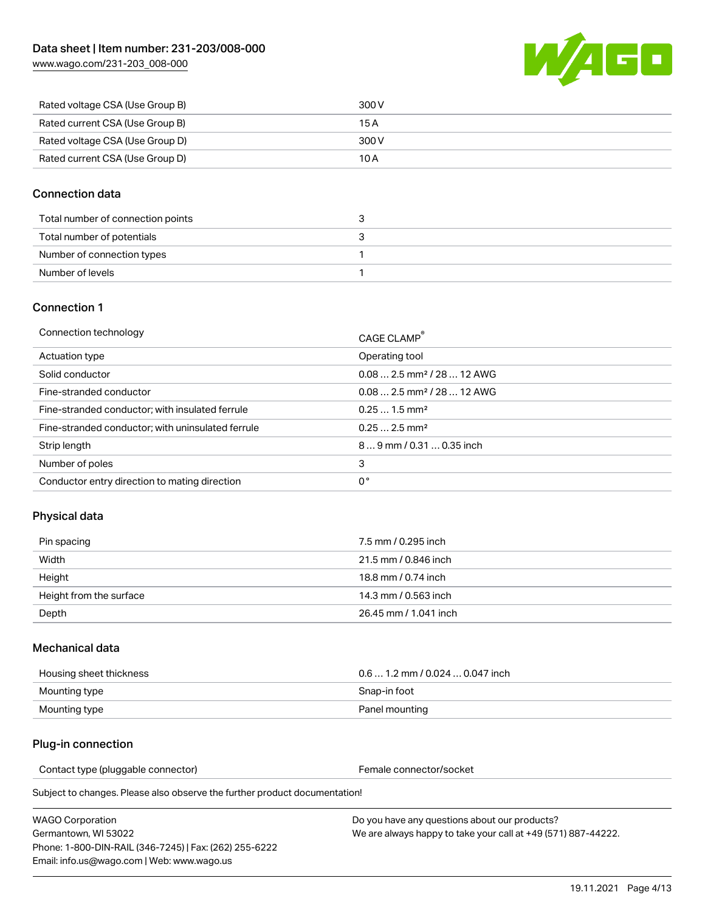

| Rated voltage CSA (Use Group B) | 300 V |
|---------------------------------|-------|
| Rated current CSA (Use Group B) | 15 A  |
| Rated voltage CSA (Use Group D) | 300 V |
| Rated current CSA (Use Group D) | 10 A  |

### Connection data

| Total number of connection points |  |
|-----------------------------------|--|
| Total number of potentials        |  |
| Number of connection types        |  |
| Number of levels                  |  |

### Connection 1

| Connection technology                             | CAGE CLAMP <sup>®</sup>                 |
|---------------------------------------------------|-----------------------------------------|
| Actuation type                                    | Operating tool                          |
| Solid conductor                                   | $0.082.5$ mm <sup>2</sup> / 28  12 AWG  |
| Fine-stranded conductor                           | $0.08$ 2.5 mm <sup>2</sup> / 28  12 AWG |
| Fine-stranded conductor; with insulated ferrule   | $0.251.5$ mm <sup>2</sup>               |
| Fine-stranded conductor; with uninsulated ferrule | $0.252.5$ mm <sup>2</sup>               |
| Strip length                                      | 89 mm / 0.31  0.35 inch                 |
| Number of poles                                   | 3                                       |
| Conductor entry direction to mating direction     | 0°                                      |

# Physical data

| Pin spacing             | 7.5 mm / 0.295 inch   |
|-------------------------|-----------------------|
| Width                   | 21.5 mm / 0.846 inch  |
| Height                  | 18.8 mm / 0.74 inch   |
| Height from the surface | 14.3 mm / 0.563 inch  |
| Depth                   | 26.45 mm / 1.041 inch |

### Mechanical data

| Housing sheet thickness | $0.61.2$ mm $/0.0240.047$ inch |
|-------------------------|--------------------------------|
| Mounting type           | Snap-in foot                   |
| Mounting type           | Panel mounting                 |

## Plug-in connection

Contact type (pluggable connector) example a set of the Female connector/socket

Subject to changes. Please also observe the further product documentation!

| WAGO Corporation                                       |  |
|--------------------------------------------------------|--|
| Germantown. WI 53022                                   |  |
| Phone: 1-800-DIN-RAIL (346-7245)   Fax: (262) 255-6222 |  |
| Email: info.us@wago.com   Web: www.wago.us             |  |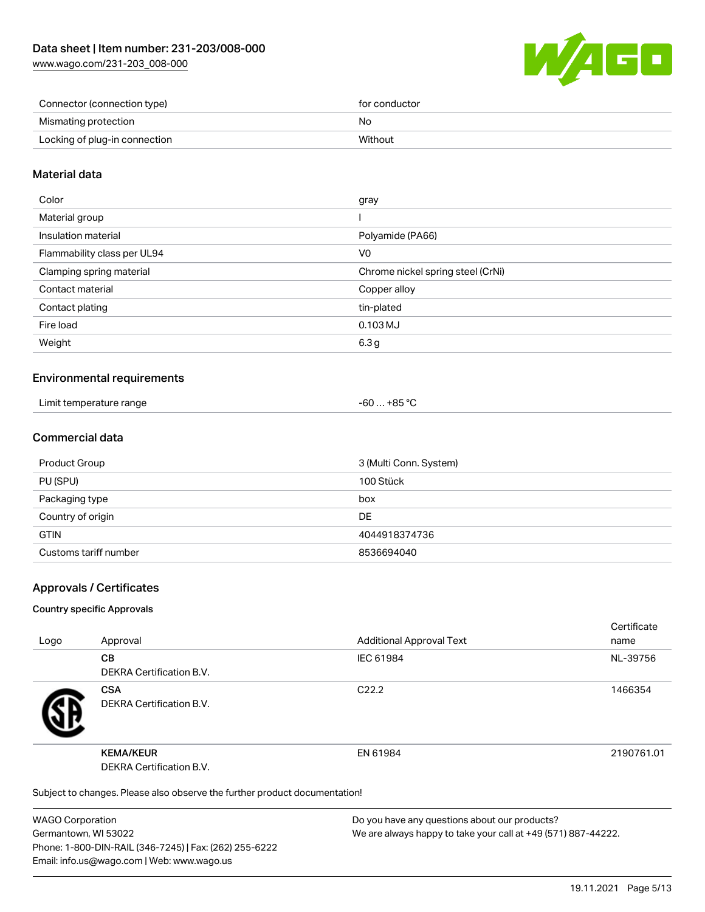

| Connector (connection type)   | for conductor |
|-------------------------------|---------------|
| Mismating protection          | No            |
| Locking of plug-in connection | Without       |

### Material data

| Color                       | gray                              |
|-----------------------------|-----------------------------------|
| Material group              |                                   |
| Insulation material         | Polyamide (PA66)                  |
| Flammability class per UL94 | V0                                |
| Clamping spring material    | Chrome nickel spring steel (CrNi) |
| Contact material            | Copper alloy                      |
| Contact plating             | tin-plated                        |
| Fire load                   | $0.103$ MJ                        |
| Weight                      | 6.3 <sub>g</sub>                  |
|                             |                                   |

### Environmental requirements

| Limit temperature range<br>. | $-60+85 °C$ |
|------------------------------|-------------|
|------------------------------|-------------|

### Commercial data

| Product Group         | 3 (Multi Conn. System) |
|-----------------------|------------------------|
| PU (SPU)              | 100 Stück              |
| Packaging type        | box                    |
| Country of origin     | DE                     |
| <b>GTIN</b>           | 4044918374736          |
| Customs tariff number | 8536694040             |

### Approvals / Certificates

#### Country specific Approvals

| Logo | Approval                                                                   | <b>Additional Approval Text</b> | Certificate<br>name |
|------|----------------------------------------------------------------------------|---------------------------------|---------------------|
|      | <b>CB</b><br><b>DEKRA Certification B.V.</b>                               | IEC 61984                       | NL-39756            |
|      | <b>CSA</b><br><b>DEKRA Certification B.V.</b>                              | C <sub>22.2</sub>               | 1466354             |
|      | <b>KEMA/KEUR</b><br>DEKRA Certification B.V.                               | EN 61984                        | 2190761.01          |
|      | Subject to changes. Please also observe the further product documentation! |                                 |                     |

WAGO Corporation Germantown, WI 53022 Phone: 1-800-DIN-RAIL (346-7245) | Fax: (262) 255-6222 Email: info.us@wago.com | Web: www.wago.us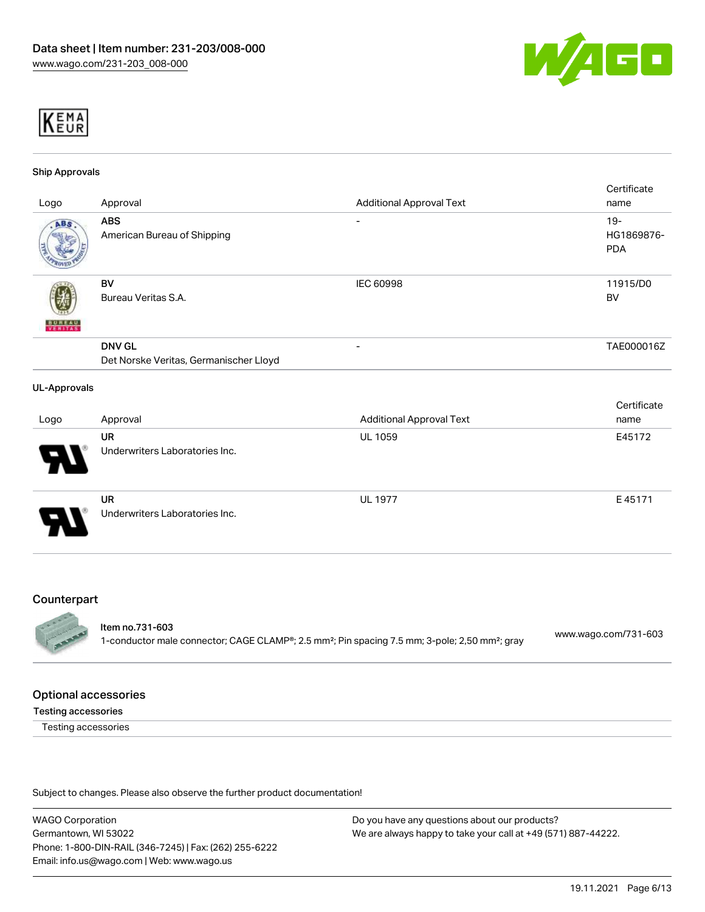



#### Ship Approvals

| Logo                     | Approval                                                | <b>Additional Approval Text</b> | Certificate<br>name                |
|--------------------------|---------------------------------------------------------|---------------------------------|------------------------------------|
| ABS                      | <b>ABS</b><br>American Bureau of Shipping               | $\overline{\phantom{a}}$        | $19 -$<br>HG1869876-<br><b>PDA</b> |
| <b>BUNEAU</b><br>Veritas | BV<br>Bureau Veritas S.A.                               | IEC 60998                       | 11915/D0<br>BV                     |
|                          | <b>DNV GL</b><br>Det Norske Veritas, Germanischer Lloyd | $\qquad \qquad \blacksquare$    | TAE000016Z                         |
| <b>UL-Approvals</b>      |                                                         |                                 |                                    |
| Logo                     | Approval                                                | <b>Additional Approval Text</b> | Certificate<br>name                |
|                          | <b>UR</b><br>Underwriters Laboratories Inc.             | UL 1059                         | E45172                             |
|                          | <b>UR</b><br>Underwriters Laboratories Inc.             | <b>UL 1977</b>                  | E45171                             |

#### **Counterpart**



### Item no.731-603

1-conductor male connector; CAGE CLAMP®; 2.5 mm²; Pin spacing 7.5 mm; 3-pole; 2,50 mm²; gray [www.wago.com/731-603](https://www.wago.com/731-603)

#### Optional accessories

#### Testing accessories

Testing accessories

Subject to changes. Please also observe the further product documentation!

WAGO Corporation Germantown, WI 53022 Phone: 1-800-DIN-RAIL (346-7245) | Fax: (262) 255-6222 Email: info.us@wago.com | Web: www.wago.us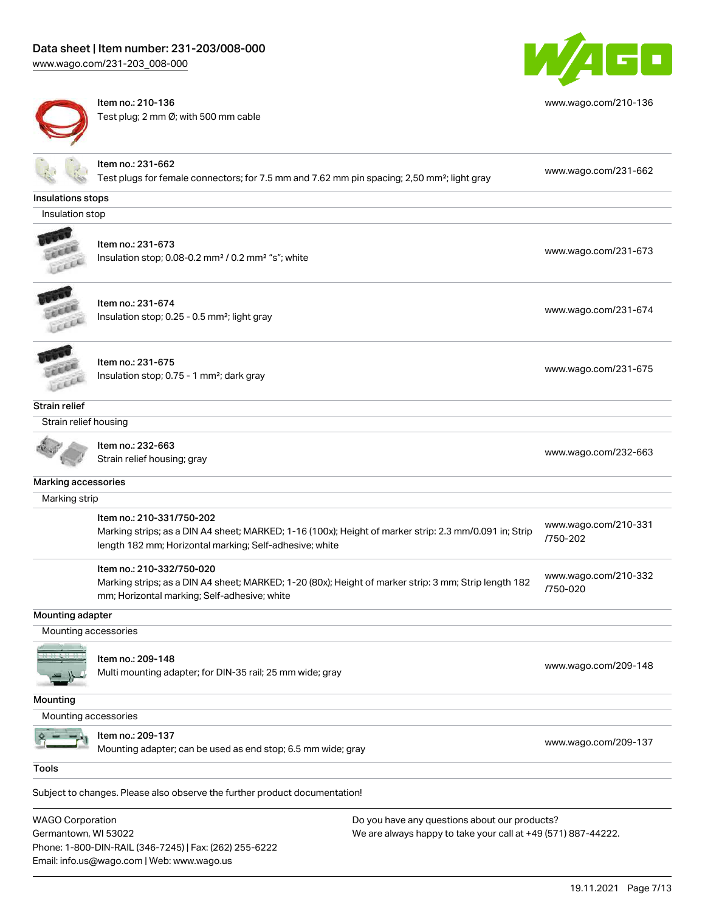Email: info.us@wago.com | Web: www.wago.us

[www.wago.com/231-203\\_008-000](http://www.wago.com/231-203_008-000)



Item no.: 210-136 Test plug; 2 mm Ø; with 500 mm cable



[www.wago.com/210-136](http://www.wago.com/210-136)

|                         | Item no.: 231-662                                                                                       |                                                               |                                  |
|-------------------------|---------------------------------------------------------------------------------------------------------|---------------------------------------------------------------|----------------------------------|
|                         | Test plugs for female connectors; for 7.5 mm and 7.62 mm pin spacing; 2,50 mm <sup>2</sup> ; light gray |                                                               | www.wago.com/231-662             |
| Insulations stops       |                                                                                                         |                                                               |                                  |
| Insulation stop         |                                                                                                         |                                                               |                                  |
|                         | Item no.: 231-673                                                                                       |                                                               |                                  |
|                         | Insulation stop; 0.08-0.2 mm <sup>2</sup> / 0.2 mm <sup>2</sup> "s"; white                              |                                                               | www.wago.com/231-673             |
|                         |                                                                                                         |                                                               |                                  |
|                         | Item no.: 231-674                                                                                       |                                                               |                                  |
|                         | Insulation stop; 0.25 - 0.5 mm <sup>2</sup> ; light gray                                                |                                                               | www.wago.com/231-674             |
| LLEL                    |                                                                                                         |                                                               |                                  |
|                         | Item no.: 231-675                                                                                       |                                                               |                                  |
|                         | Insulation stop; 0.75 - 1 mm <sup>2</sup> ; dark gray                                                   |                                                               | www.wago.com/231-675             |
|                         |                                                                                                         |                                                               |                                  |
| <b>Strain relief</b>    |                                                                                                         |                                                               |                                  |
| Strain relief housing   |                                                                                                         |                                                               |                                  |
|                         | Item no.: 232-663                                                                                       |                                                               |                                  |
|                         | Strain relief housing; gray                                                                             |                                                               | www.wago.com/232-663             |
| Marking accessories     |                                                                                                         |                                                               |                                  |
| Marking strip           |                                                                                                         |                                                               |                                  |
|                         | Item no.: 210-331/750-202                                                                               |                                                               |                                  |
|                         | Marking strips; as a DIN A4 sheet; MARKED; 1-16 (100x); Height of marker strip: 2.3 mm/0.091 in; Strip  |                                                               | www.wago.com/210-331<br>/750-202 |
|                         | length 182 mm; Horizontal marking; Self-adhesive; white                                                 |                                                               |                                  |
|                         | Item no.: 210-332/750-020                                                                               |                                                               |                                  |
|                         | Marking strips; as a DIN A4 sheet; MARKED; 1-20 (80x); Height of marker strip: 3 mm; Strip length 182   |                                                               | www.wago.com/210-332<br>/750-020 |
|                         | mm; Horizontal marking; Self-adhesive; white                                                            |                                                               |                                  |
| Mounting adapter        |                                                                                                         |                                                               |                                  |
| Mounting accessories    |                                                                                                         |                                                               |                                  |
|                         | Item no.: 209-148                                                                                       |                                                               |                                  |
|                         | Multi mounting adapter; for DIN-35 rail; 25 mm wide; gray                                               |                                                               | www.wago.com/209-148             |
|                         |                                                                                                         |                                                               |                                  |
| Mounting                |                                                                                                         |                                                               |                                  |
| Mounting accessories    |                                                                                                         |                                                               |                                  |
|                         | Item no.: 209-137                                                                                       |                                                               | www.wago.com/209-137             |
|                         | Mounting adapter; can be used as end stop; 6.5 mm wide; gray                                            |                                                               |                                  |
| <b>Tools</b>            |                                                                                                         |                                                               |                                  |
|                         | Subject to changes. Please also observe the further product documentation!                              |                                                               |                                  |
| <b>WAGO Corporation</b> |                                                                                                         | Do you have any questions about our products?                 |                                  |
| Germantown, WI 53022    |                                                                                                         | We are always happy to take your call at +49 (571) 887-44222. |                                  |
|                         | Phone: 1-800-DIN-RAIL (346-7245)   Fax: (262) 255-6222                                                  |                                                               |                                  |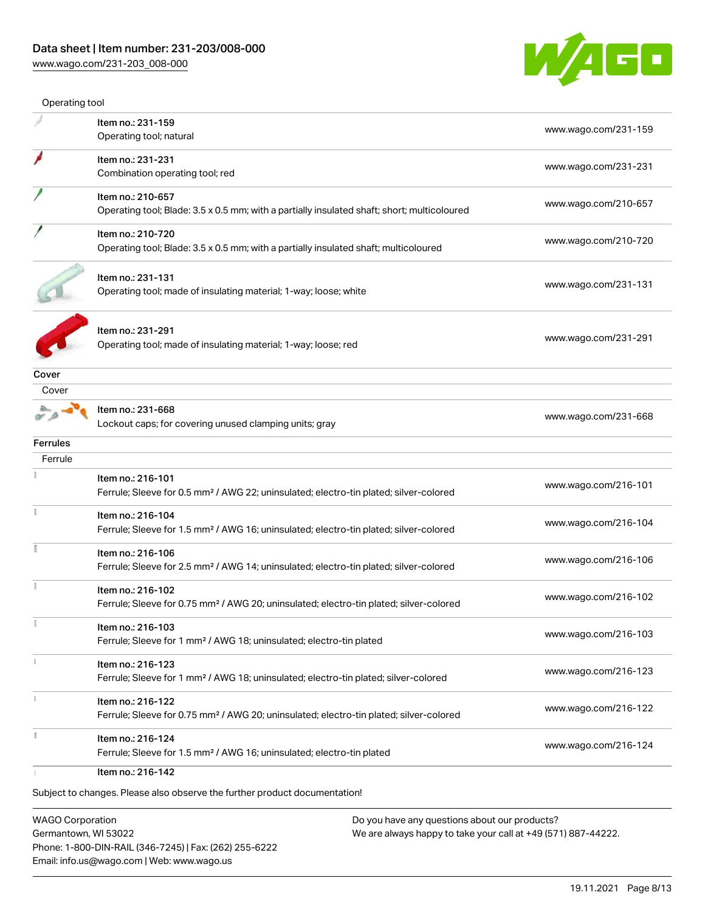

| Operating tool  |                                                                                                    |                      |
|-----------------|----------------------------------------------------------------------------------------------------|----------------------|
|                 | Item no.: 231-159                                                                                  | www.wago.com/231-159 |
|                 | Operating tool; natural                                                                            |                      |
|                 | Item no.: 231-231                                                                                  | www.wago.com/231-231 |
|                 | Combination operating tool; red                                                                    |                      |
|                 | Item no.: 210-657                                                                                  |                      |
|                 | Operating tool; Blade: 3.5 x 0.5 mm; with a partially insulated shaft; short; multicoloured        | www.wago.com/210-657 |
|                 | Item no.: 210-720                                                                                  |                      |
|                 | Operating tool; Blade: 3.5 x 0.5 mm; with a partially insulated shaft; multicoloured               | www.wago.com/210-720 |
|                 | Item no.: 231-131                                                                                  |                      |
|                 | Operating tool; made of insulating material; 1-way; loose; white                                   | www.wago.com/231-131 |
|                 |                                                                                                    |                      |
|                 | Item no.: 231-291                                                                                  |                      |
|                 | Operating tool; made of insulating material; 1-way; loose; red                                     | www.wago.com/231-291 |
| Cover           |                                                                                                    |                      |
| Cover           |                                                                                                    |                      |
|                 | Item no.: 231-668                                                                                  |                      |
|                 | Lockout caps; for covering unused clamping units; gray                                             | www.wago.com/231-668 |
| <b>Ferrules</b> |                                                                                                    |                      |
| Ferrule         |                                                                                                    |                      |
|                 | Item no.: 216-101                                                                                  |                      |
|                 | Ferrule; Sleeve for 0.5 mm <sup>2</sup> / AWG 22; uninsulated; electro-tin plated; silver-colored  | www.wago.com/216-101 |
|                 | Item no.: 216-104                                                                                  |                      |
|                 | Ferrule; Sleeve for 1.5 mm <sup>2</sup> / AWG 16; uninsulated; electro-tin plated; silver-colored  | www.wago.com/216-104 |
|                 |                                                                                                    |                      |
|                 | Item no.: 216-106                                                                                  | www.wago.com/216-106 |
|                 | Ferrule; Sleeve for 2.5 mm <sup>2</sup> / AWG 14; uninsulated; electro-tin plated; silver-colored  |                      |
|                 | Item no.: 216-102                                                                                  | www.wago.com/216-102 |
|                 | Ferrule; Sleeve for 0.75 mm <sup>2</sup> / AWG 20; uninsulated; electro-tin plated; silver-colored |                      |
|                 | Item no.: 216-103                                                                                  |                      |
|                 | Ferrule; Sleeve for 1 mm <sup>2</sup> / AWG 18; uninsulated; electro-tin plated                    | www.wago.com/216-103 |
|                 | Item no.: 216-123                                                                                  |                      |
|                 | Ferrule; Sleeve for 1 mm <sup>2</sup> / AWG 18; uninsulated; electro-tin plated; silver-colored    | www.wago.com/216-123 |
|                 | Item no.: 216-122                                                                                  |                      |
|                 | Ferrule; Sleeve for 0.75 mm <sup>2</sup> / AWG 20; uninsulated; electro-tin plated; silver-colored | www.wago.com/216-122 |
|                 | Item no.: 216-124                                                                                  |                      |
|                 | Ferrule; Sleeve for 1.5 mm <sup>2</sup> / AWG 16; uninsulated; electro-tin plated                  | www.wago.com/216-124 |
|                 |                                                                                                    |                      |

WAGO Corporation Germantown, WI 53022 Phone: 1-800-DIN-RAIL (346-7245) | Fax: (262) 255-6222 Email: info.us@wago.com | Web: www.wago.us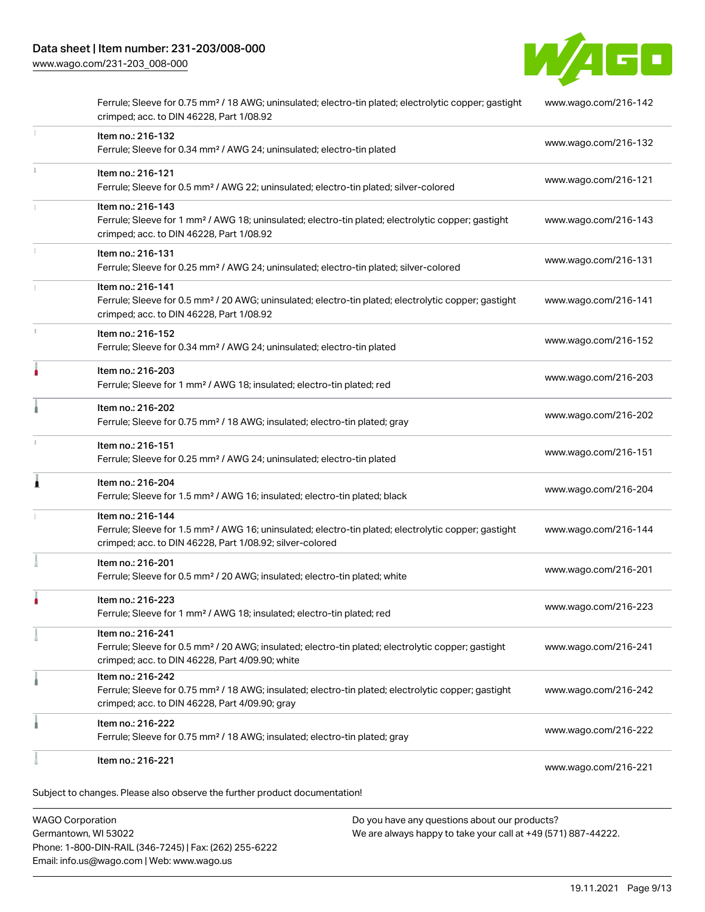

|   | Item no.: 216-221                                                                                                                                                                                 | www.wago.com/216-221 |
|---|---------------------------------------------------------------------------------------------------------------------------------------------------------------------------------------------------|----------------------|
|   | Item no.: 216-222<br>Ferrule; Sleeve for 0.75 mm <sup>2</sup> / 18 AWG; insulated; electro-tin plated; gray                                                                                       | www.wago.com/216-222 |
|   | Item no.: 216-242<br>Ferrule; Sleeve for 0.75 mm <sup>2</sup> / 18 AWG; insulated; electro-tin plated; electrolytic copper; gastight<br>crimped; acc. to DIN 46228, Part 4/09.90; gray            | www.wago.com/216-242 |
|   | Item no.: 216-241<br>Ferrule; Sleeve for 0.5 mm <sup>2</sup> / 20 AWG; insulated; electro-tin plated; electrolytic copper; gastight<br>crimped; acc. to DIN 46228, Part 4/09.90; white            | www.wago.com/216-241 |
|   | Item no.: 216-223<br>Ferrule; Sleeve for 1 mm <sup>2</sup> / AWG 18; insulated; electro-tin plated; red                                                                                           | www.wago.com/216-223 |
|   | Item no.: 216-201<br>Ferrule; Sleeve for 0.5 mm <sup>2</sup> / 20 AWG; insulated; electro-tin plated; white                                                                                       | www.wago.com/216-201 |
|   | Item no.: 216-144<br>Ferrule; Sleeve for 1.5 mm <sup>2</sup> / AWG 16; uninsulated; electro-tin plated; electrolytic copper; gastight<br>crimped; acc. to DIN 46228, Part 1/08.92; silver-colored | www.wago.com/216-144 |
|   | Item no.: 216-204<br>Ferrule; Sleeve for 1.5 mm <sup>2</sup> / AWG 16; insulated; electro-tin plated; black                                                                                       | www.wago.com/216-204 |
|   | Item no.: 216-151<br>Ferrule; Sleeve for 0.25 mm <sup>2</sup> / AWG 24; uninsulated; electro-tin plated                                                                                           | www.wago.com/216-151 |
|   | Item no.: 216-202<br>Ferrule; Sleeve for 0.75 mm <sup>2</sup> / 18 AWG; insulated; electro-tin plated; gray                                                                                       | www.wago.com/216-202 |
|   | Item no.: 216-203<br>Ferrule; Sleeve for 1 mm <sup>2</sup> / AWG 18; insulated; electro-tin plated; red                                                                                           | www.wago.com/216-203 |
| 1 | Item no.: 216-152<br>Ferrule; Sleeve for 0.34 mm <sup>2</sup> / AWG 24; uninsulated; electro-tin plated                                                                                           | www.wago.com/216-152 |
|   | Item no.: 216-141<br>Ferrule; Sleeve for 0.5 mm <sup>2</sup> / 20 AWG; uninsulated; electro-tin plated; electrolytic copper; gastight<br>crimped; acc. to DIN 46228, Part 1/08.92                 | www.wago.com/216-141 |
|   | Item no.: 216-131<br>Ferrule; Sleeve for 0.25 mm <sup>2</sup> / AWG 24; uninsulated; electro-tin plated; silver-colored                                                                           | www.wago.com/216-131 |
|   | Item no.: 216-143<br>Ferrule; Sleeve for 1 mm <sup>2</sup> / AWG 18; uninsulated; electro-tin plated; electrolytic copper; gastight<br>crimped; acc. to DIN 46228, Part 1/08.92                   | www.wago.com/216-143 |
|   | Item no.: 216-121<br>Ferrule; Sleeve for 0.5 mm <sup>2</sup> / AWG 22; uninsulated; electro-tin plated; silver-colored                                                                            | www.wago.com/216-121 |
|   | Item no.: 216-132<br>Ferrule; Sleeve for 0.34 mm <sup>2</sup> / AWG 24; uninsulated; electro-tin plated                                                                                           | www.wago.com/216-132 |
|   | Ferrule; Sleeve for 0.75 mm <sup>2</sup> / 18 AWG; uninsulated; electro-tin plated; electrolytic copper; gastight<br>crimped; acc. to DIN 46228, Part 1/08.92                                     | www.wago.com/216-142 |

WAGO Corporation Germantown, WI 53022 Phone: 1-800-DIN-RAIL (346-7245) | Fax: (262) 255-6222 Email: info.us@wago.com | Web: www.wago.us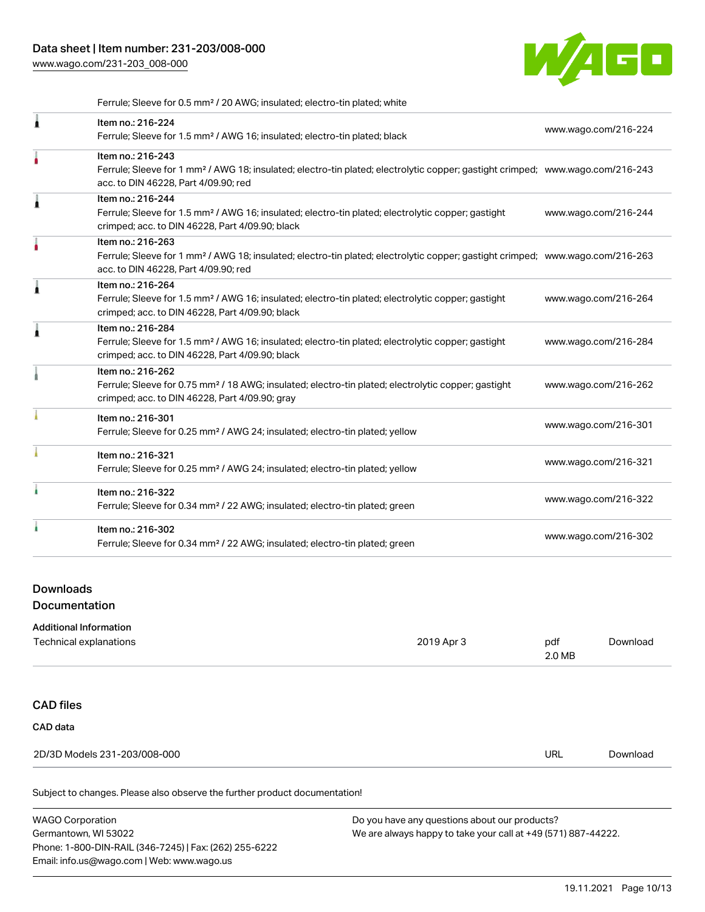

Ferrule; Sleeve for 0.5 mm² / 20 AWG; insulated; electro-tin plated; white

|   | Item no.: 216-224<br>Ferrule; Sleeve for 1.5 mm <sup>2</sup> / AWG 16; insulated; electro-tin plated; black                                                                                             | www.wago.com/216-224 |
|---|---------------------------------------------------------------------------------------------------------------------------------------------------------------------------------------------------------|----------------------|
|   | Item no.: 216-243<br>Ferrule; Sleeve for 1 mm <sup>2</sup> / AWG 18; insulated; electro-tin plated; electrolytic copper; gastight crimped; www.wago.com/216-243<br>acc. to DIN 46228, Part 4/09.90; red |                      |
|   | Item no.: 216-244<br>Ferrule; Sleeve for 1.5 mm <sup>2</sup> / AWG 16; insulated; electro-tin plated; electrolytic copper; gastight<br>crimped; acc. to DIN 46228, Part 4/09.90; black                  | www.wago.com/216-244 |
|   | Item no.: 216-263<br>Ferrule; Sleeve for 1 mm <sup>2</sup> / AWG 18; insulated; electro-tin plated; electrolytic copper; gastight crimped; www.wago.com/216-263<br>acc. to DIN 46228, Part 4/09.90; red |                      |
| ۸ | Item no.: 216-264<br>Ferrule; Sleeve for 1.5 mm <sup>2</sup> / AWG 16; insulated; electro-tin plated; electrolytic copper; gastight<br>crimped; acc. to DIN 46228, Part 4/09.90; black                  | www.wago.com/216-264 |
|   | Item no.: 216-284<br>Ferrule; Sleeve for 1.5 mm <sup>2</sup> / AWG 16; insulated; electro-tin plated; electrolytic copper; gastight<br>crimped; acc. to DIN 46228, Part 4/09.90; black                  | www.wago.com/216-284 |
|   | Item no.: 216-262<br>Ferrule; Sleeve for 0.75 mm <sup>2</sup> / 18 AWG; insulated; electro-tin plated; electrolytic copper; gastight<br>crimped; acc. to DIN 46228, Part 4/09.90; gray                  | www.wago.com/216-262 |
|   | Item no.: 216-301<br>Ferrule; Sleeve for 0.25 mm <sup>2</sup> / AWG 24; insulated; electro-tin plated; yellow                                                                                           | www.wago.com/216-301 |
|   | Item no.: 216-321<br>Ferrule; Sleeve for 0.25 mm <sup>2</sup> / AWG 24; insulated; electro-tin plated; yellow                                                                                           | www.wago.com/216-321 |
|   | Item no.: 216-322<br>Ferrule; Sleeve for 0.34 mm <sup>2</sup> / 22 AWG; insulated; electro-tin plated; green                                                                                            | www.wago.com/216-322 |
|   | Item no.: 216-302<br>Ferrule; Sleeve for 0.34 mm <sup>2</sup> / 22 AWG; insulated; electro-tin plated; green                                                                                            | www.wago.com/216-302 |
|   |                                                                                                                                                                                                         |                      |

### Downloads

**Documentation** 

| <b>Additional Information</b> |            |               |          |  |
|-------------------------------|------------|---------------|----------|--|
| Technical explanations        | 2019 Apr 3 | pdf<br>2.0 MB | Download |  |
|                               |            |               |          |  |
| <b>CAD files</b>              |            |               |          |  |
| CAD data                      |            |               |          |  |
| 2D/3D Models 231-203/008-000  |            | <b>URL</b>    | Download |  |
|                               |            |               |          |  |

Subject to changes. Please also observe the further product documentation!

| <b>WAGO Corporation</b>                                | Do you have any questions about our products?                 |
|--------------------------------------------------------|---------------------------------------------------------------|
| Germantown, WI 53022                                   | We are always happy to take your call at +49 (571) 887-44222. |
| Phone: 1-800-DIN-RAIL (346-7245)   Fax: (262) 255-6222 |                                                               |
| Email: info.us@wago.com   Web: www.wago.us             |                                                               |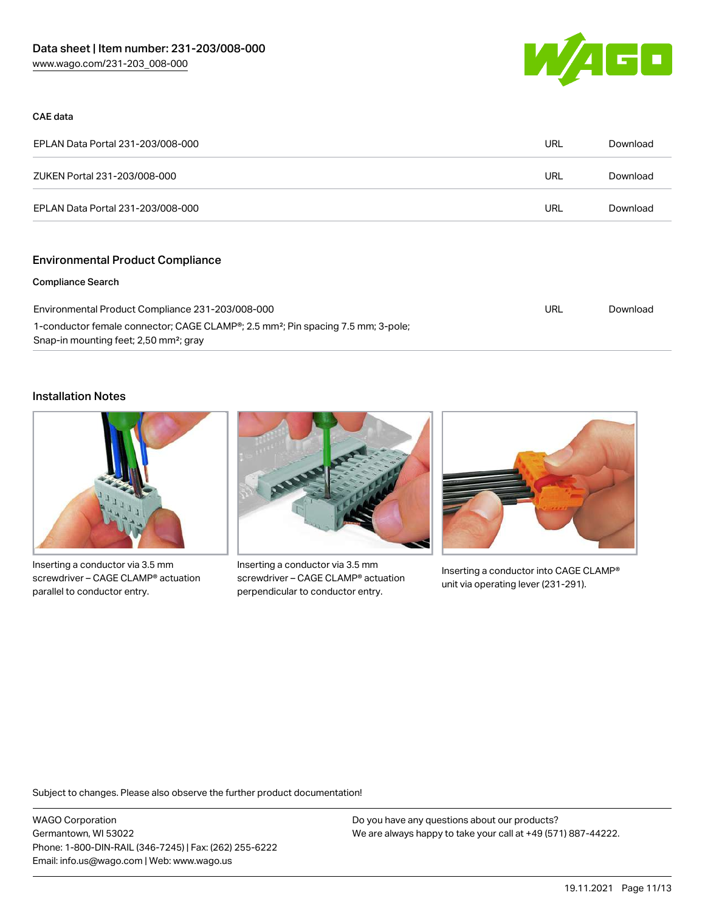

#### CAE data

| EPLAN Data Portal 231-203/008-000 | URL | Download |
|-----------------------------------|-----|----------|
| ZUKEN Portal 231-203/008-000      | URL | Download |
| EPLAN Data Portal 231-203/008-000 | URL | Download |

# Environmental Product Compliance

#### Compliance Search

| Environmental Product Compliance 231-203/008-000                                                          | URL | Download |
|-----------------------------------------------------------------------------------------------------------|-----|----------|
| 1-conductor female connector; CAGE CLAMP <sup>®</sup> ; 2.5 mm <sup>2</sup> ; Pin spacing 7.5 mm; 3-pole; |     |          |
| Snap-in mounting feet; 2,50 mm <sup>2</sup> ; gray                                                        |     |          |

#### Installation Notes



Inserting a conductor via 3.5 mm screwdriver – CAGE CLAMP® actuation parallel to conductor entry.



Inserting a conductor via 3.5 mm screwdriver – CAGE CLAMP® actuation perpendicular to conductor entry.



Inserting a conductor into CAGE CLAMP® unit via operating lever (231-291).

Subject to changes. Please also observe the further product documentation!

WAGO Corporation Germantown, WI 53022 Phone: 1-800-DIN-RAIL (346-7245) | Fax: (262) 255-6222 Email: info.us@wago.com | Web: www.wago.us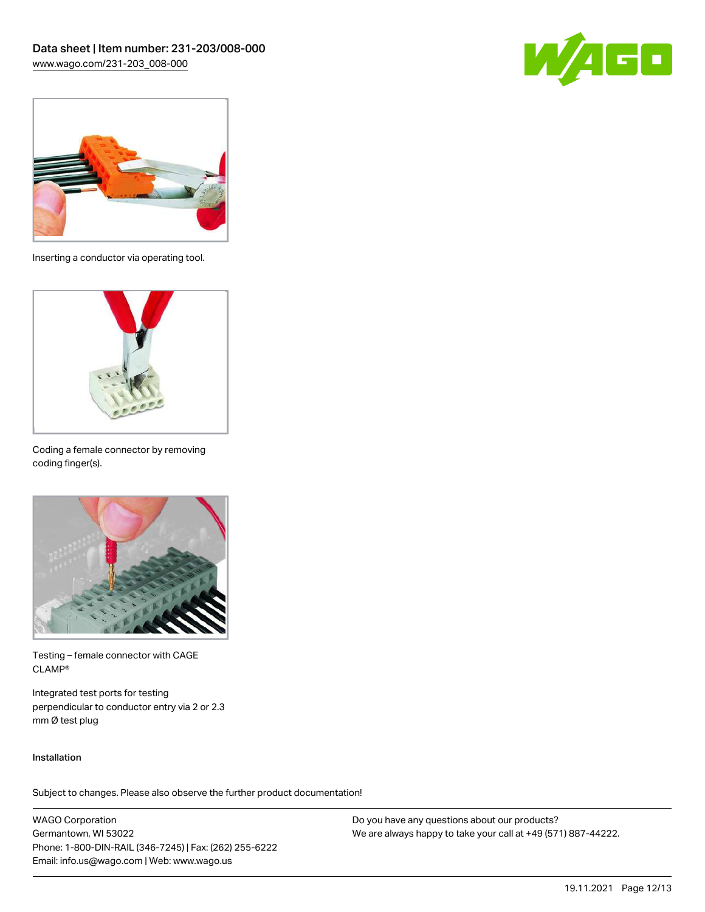



Inserting a conductor via operating tool.



Coding a female connector by removing coding finger(s).



Testing – female connector with CAGE CLAMP®

Integrated test ports for testing perpendicular to conductor entry via 2 or 2.3 mm Ø test plug

#### Installation

Subject to changes. Please also observe the further product documentation!

WAGO Corporation Germantown, WI 53022 Phone: 1-800-DIN-RAIL (346-7245) | Fax: (262) 255-6222 Email: info.us@wago.com | Web: www.wago.us